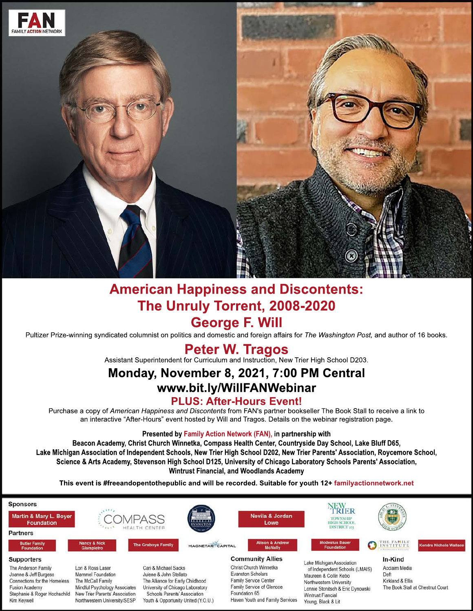

# **American Happiness and Discontents: The Unruly Torrent, 2008-2020 George F. Will**

Pultizer Prize-winning syndicated columnist on politics and domestic and foreign affairs for *The Washington Post,* and author of 16 books.

# **Peter W. Tragos**

Assistant Superintendent for Curriculum and Instruction, New Trier High School D203.

# **Monday, November 8, 2021, 7:00 PM Central www.bit.ly/WillFANWebinar**

## **PLUS: After-Hours Event!**

Purchase a copy of *American Happiness and Discontents* from FAN's partner bookseller The Book Stall to receive a link to an interactive "After-Hours" event hosted by Will and Tragos. Details on the webinar registration page.

#### **Presented by Family Action Network (FAN), in partnership with**

**Beacon Academy, Christ Church Winnetka, Compass Health Center, Countryside Day School, Lake Bluff D65, Lake Michigan Michigan Association of Independent Schools, New Trier High School D202, New Trier Parents' Association, Roycemore School, Science & Arts Academy, Stevenson High School D125, University of Chicago Laboratory Schools Parents' Association, Wintrust Financial, and Woodlands Academy**

**This event is #freeandopentothepublic and will be recorded. Suitable for youth 12+ familyactionnetwork.net**